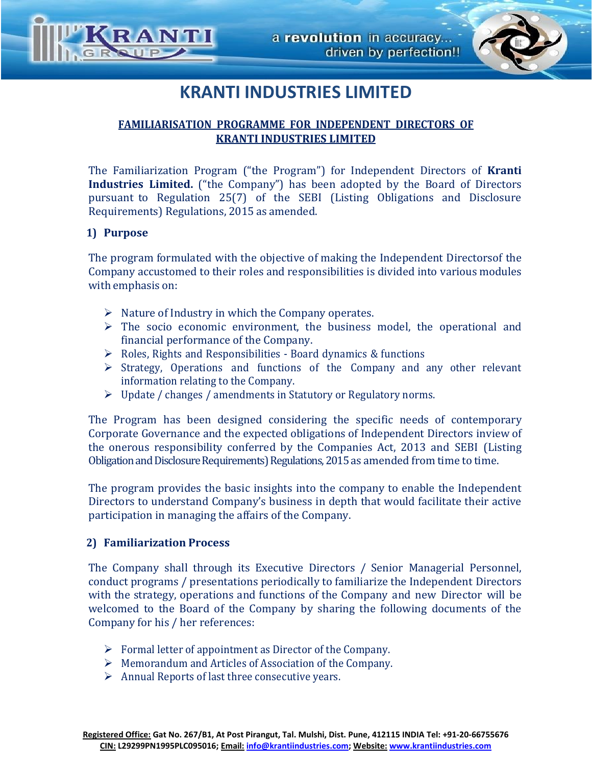

# **KRANTI INDUSTRIES LIMITED**

## **FAMILIARISATION PROGRAMME FOR INDEPENDENT DIRECTORS OF KRANTI INDUSTRIES LIMITED**

The Familiarization Program ("the Program") for Independent Directors of **Kranti Industries Limited.** ("the Company") has been adopted by the Board of Directors pursuant to Regulation 25(7) of the SEBI (Listing Obligations and Disclosure Requirements) Regulations, 2015 as amended.

### **1) Purpose**

The program formulated with the objective of making the Independent Directorsof the Company accustomed to their roles and responsibilities is divided into various modules with emphasis on:

- $\triangleright$  Nature of Industry in which the Company operates.
- $\triangleright$  The socio economic environment, the business model, the operational and financial performance of the Company.
- $\triangleright$  Roles, Rights and Responsibilities Board dynamics & functions
- $\triangleright$  Strategy, Operations and functions of the Company and any other relevant information relating to the Company.
- Update / changes / amendments in Statutory or Regulatory norms.

The Program has been designed considering the specific needs of contemporary Corporate Governance and the expected obligations of Independent Directors inview of the onerous responsibility conferred by the Companies Act, 2013 and SEBI (Listing Obligation and Disclosure Requirements) Regulations, 2015 as amended from time to time.

The program provides the basic insights into the company to enable the Independent Directors to understand Company's business in depth that would facilitate their active participation in managing the affairs of the Company.

### **2) Familiarization Process**

The Company shall through its Executive Directors / Senior Managerial Personnel, conduct programs / presentations periodically to familiarize the Independent Directors with the strategy, operations and functions of the Company and new Director will be welcomed to the Board of the Company by sharing the following documents of the Company for his / her references:

- $\triangleright$  Formal letter of appointment as Director of the Company.
- Memorandum and Articles of Association of the Company.
- $\triangleright$  Annual Reports of last three consecutive years.